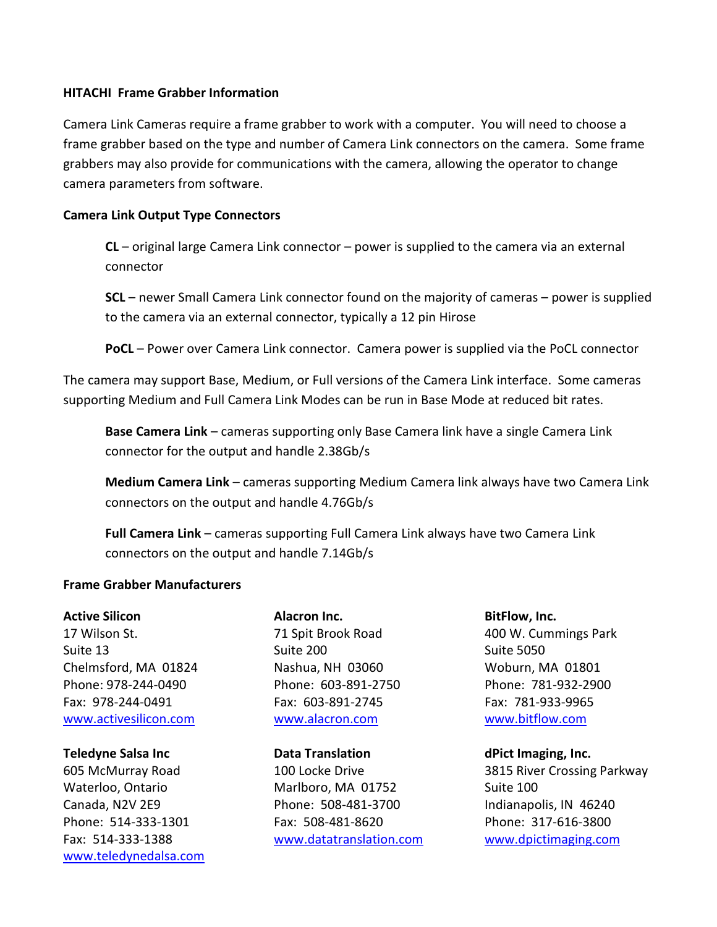### **HITACHI Frame Grabber Information**

Camera Link Cameras require a frame grabber to work with a computer. You will need to choose a frame grabber based on the type and number of Camera Link connectors on the camera. Some frame grabbers may also provide for communications with the camera, allowing the operator to change camera parameters from software.

## **Camera Link Output Type Connectors**

**CL** – original large Camera Link connector – power is supplied to the camera via an external connector

**SCL** – newer Small Camera Link connector found on the majority of cameras – power is supplied to the camera via an external connector, typically a 12 pin Hirose

**PoCL** – Power over Camera Link connector. Camera power is supplied via the PoCL connector

The camera may support Base, Medium, or Full versions of the Camera Link interface. Some cameras supporting Medium and Full Camera Link Modes can be run in Base Mode at reduced bit rates.

**Base Camera Link** – cameras supporting only Base Camera link have a single Camera Link connector for the output and handle 2.38Gb/s

**Medium Camera Link** – cameras supporting Medium Camera link always have two Camera Link connectors on the output and handle 4.76Gb/s

**Full Camera Link** – cameras supporting Full Camera Link always have two Camera Link connectors on the output and handle 7.14Gb/s

# **Frame Grabber Manufacturers**

17 Wilson St. 10. 10. The State of Table 71 Spit Brook Road 400 W. Cummings Park Suite 13 Suite 200 Suite 200 Suite 5050 Chelmsford, MA 01824 Nashua, NH 03060 Woburn, MA 01801 Phone: 978-244-0490 Phone: 603-891-2750 Phone: 781-932-2900 Fax: 978-244-0491 Fax: 603-891-2745 Fax: 781-933-9965 [www.activesilicon.com](http://www.activesilicon.com/) [www.alacron.com](http://www.alacron.com/) [www.bitflow.com](http://www.bitflow.com/)

[www.teledynedalsa.com](http://www.teledynedalsa.com/)

Active Silicon **Alacron Inc. BitFlow, Inc. BitFlow**, Inc.

**Teledyne Salsa Inc Data Translation dPict Imaging, Inc.** Waterloo, Ontario **Marlboro, MA 01752** Suite 100 Canada, N2V 2E9 Phone: 508-481-3700 Indianapolis, IN 46240 Phone: 514-333-1301 Fax: 508-481-8620 Phone: 317-616-3800 Fax: 514-333-1388 [www.datatranslation.com](http://www.datatranslation.com/) [www.dpictimaging.com](http://www.dpictimaging.com/)

605 McMurray Road 100 Locke Drive 3815 River Crossing Parkway